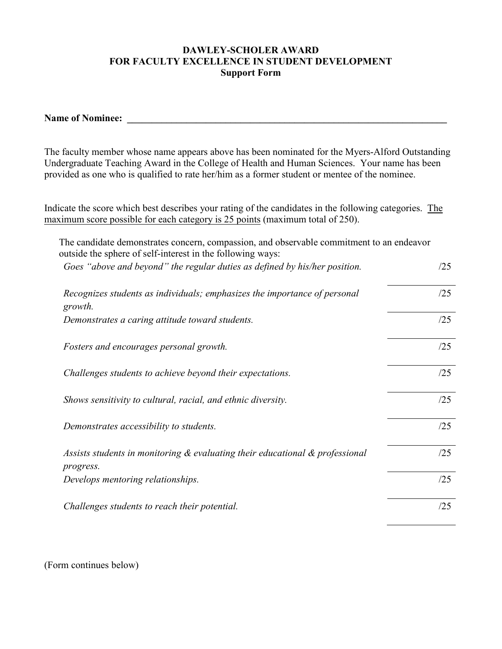## **DAWLEY-SCHOLER AWARD FOR FACULTY EXCELLENCE IN STUDENT DEVELOPMENT Support Form**

The faculty member whose name appears above has been nominated for the Myers-Alford Outstanding Undergraduate Teaching Award in the College of Health and Human Sciences. Your name has been provided as one who is qualified to rate her/him as a former student or mentee of the nominee.

Indicate the score which best describes your rating of the candidates in the following categories. The maximum score possible for each category is 25 points (maximum total of 250).

| The candidate demonstrates concern, compassion, and observable commitment to an endeavor<br>outside the sphere of self-interest in the following ways: |     |
|--------------------------------------------------------------------------------------------------------------------------------------------------------|-----|
| Goes "above and beyond" the regular duties as defined by his/her position.                                                                             | /25 |
| Recognizes students as individuals; emphasizes the importance of personal<br>growth.                                                                   | /25 |
| Demonstrates a caring attitude toward students.                                                                                                        | /25 |
| Fosters and encourages personal growth.                                                                                                                | /25 |
| Challenges students to achieve beyond their expectations.                                                                                              | /25 |
| Shows sensitivity to cultural, racial, and ethnic diversity.                                                                                           | /25 |
| Demonstrates accessibility to students.                                                                                                                | /25 |
| Assists students in monitoring $\&$ evaluating their educational $\&$ professional<br>progress.                                                        | /25 |
| Develops mentoring relationships.                                                                                                                      | /25 |
| Challenges students to reach their potential.                                                                                                          | /25 |

(Form continues below)